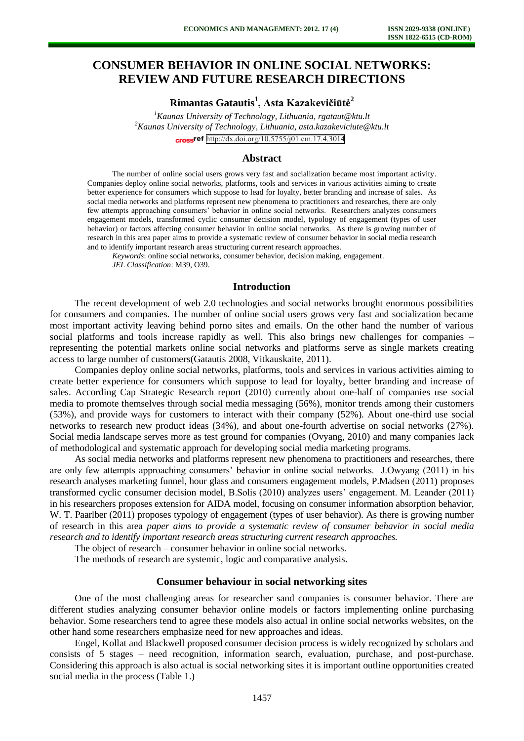# **CONSUMER BEHAVIOR IN ONLINE SOCIAL NETWORKS: REVIEW AND FUTURE RESEARCH DIRECTIONS**

**Rimantas Gatautis<sup>1</sup> , Asta Kazakevičiūtė<sup>2</sup>**

*<sup>1</sup>Kaunas University of Technology, Lithuania, rgataut@ktu.lt <sup>2</sup>Kaunas University of Technology, Lithuania, asta.kazakeviciute@ktu.lt* cross<sup>ref</sup> <http://dx.doi.org/10.5755/j01.em.17.4.3014>

### **Abstract**

The number of online social users grows very fast and socialization became most important activity. Companies deploy online social networks, platforms, tools and services in various activities aiming to create better experience for consumers which suppose to lead for loyalty, better branding and increase of sales. As social media networks and platforms represent new phenomena to practitioners and researches, there are only few attempts approaching consumers' behavior in online social networks. Researchers analyzes consumers engagement models, transformed cyclic consumer decision model, typology of engagement (types of user behavior) or factors affecting consumer behavior in online social networks. As there is growing number of research in this area paper aims to provide a systematic review of consumer behavior in social media research and to identify important research areas structuring current research approaches.

*Keywords*: online social networks, consumer behavior, decision making, engagement. *JEL Classification*: M39, O39.

#### **Introduction**

The recent development of web 2.0 technologies and social networks brought enormous possibilities for consumers and companies. The number of online social users grows very fast and socialization became most important activity leaving behind porno sites and emails. On the other hand the number of various social platforms and tools increase rapidly as well. This also brings new challenges for companies – representing the potential markets online social networks and platforms serve as single markets creating access to large number of customers(Gatautis 2008, Vitkauskaite, 2011).

Companies deploy online social networks, platforms, tools and services in various activities aiming to create better experience for consumers which suppose to lead for loyalty, better branding and increase of sales. According Cap Strategic Research report (2010) currently about one-half of companies use social media to promote themselves through social media messaging (56%), monitor trends among their customers (53%), and provide ways for customers to interact with their company (52%). About one-third use social networks to research new product ideas (34%), and about one-fourth advertise on social networks (27%). Social media landscape serves more as test ground for companies (Ovyang, 2010) and many companies lack of methodological and systematic approach for developing social media marketing programs.

As social media networks and platforms represent new phenomena to practitioners and researches, there are only few attempts approaching consumers' behavior in online social networks. J.Owyang (2011) in his research analyses marketing funnel, hour glass and consumers engagement models, P.Madsen (2011) proposes transformed cyclic consumer decision model, B.Solis (2010) analyzes users' engagement. M. Leander (2011) in his researchers proposes extension for AIDA model, focusing on consumer information absorption behavior, W. T. Paarlber (2011) proposes typology of engagement (types of user behavior). As there is growing number of research in this area *paper aims to provide a systematic review of consumer behavior in social media research and to identify important research areas structuring current research approaches.* 

The object of research – consumer behavior in online social networks.

The methods of research are systemic, logic and comparative analysis.

#### **Consumer behaviour in social networking sites**

One of the most challenging areas for researcher sand companies is consumer behavior. There are different studies analyzing consumer behavior online models or factors implementing online purchasing behavior. Some researchers tend to agree these models also actual in online social networks websites, on the other hand some researchers emphasize need for new approaches and ideas.

Engel, Kollat and Blackwell proposed consumer decision process is widely recognized by scholars and consists of 5 stages – need recognition, information search, evaluation, purchase, and post-purchase. Considering this approach is also actual is social networking sites it is important outline opportunities created social media in the process (Table 1.)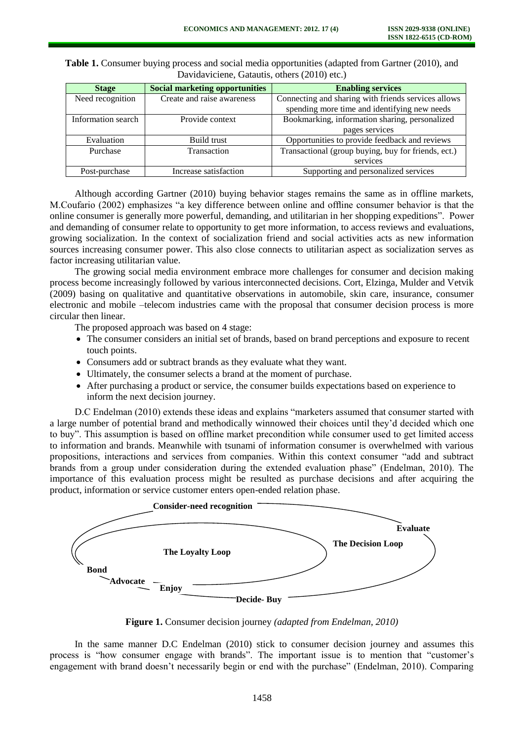| <b>Stage</b>       | <b>Social marketing opportunities</b> | <b>Enabling services</b>                            |  |  |
|--------------------|---------------------------------------|-----------------------------------------------------|--|--|
| Need recognition   | Create and raise awareness            | Connecting and sharing with friends services allows |  |  |
|                    |                                       | spending more time and identifying new needs        |  |  |
| Information search | Provide context                       | Bookmarking, information sharing, personalized      |  |  |
|                    |                                       | pages services                                      |  |  |
| Evaluation         | Build trust                           | Opportunities to provide feedback and reviews       |  |  |
| Purchase           | Transaction                           | Transactional (group buying, buy for friends, ect.) |  |  |
|                    |                                       | services                                            |  |  |
| Post-purchase      | Increase satisfaction                 | Supporting and personalized services                |  |  |

**Table 1.** Consumer buying process and social media opportunities (adapted from Gartner (2010), and Davidaviciene, Gatautis, others  $(2010)$  etc.)

Although according Gartner (2010) buying behavior stages remains the same as in offline markets, M.Coufario (2002) emphasizes "a key difference between online and offline consumer behavior is that the online consumer is generally more powerful, demanding, and utilitarian in her shopping expeditions". Power and demanding of consumer relate to opportunity to get more information, to access reviews and evaluations, growing socialization. In the context of socialization friend and social activities acts as new information sources increasing consumer power. This also close connects to utilitarian aspect as socialization serves as factor increasing utilitarian value.

The growing social media environment embrace more challenges for consumer and decision making process become increasingly followed by various interconnected decisions. Cort, Elzinga, Mulder and Vetvik (2009) basing on qualitative and quantitative observations in automobile, skin care, insurance, consumer electronic and mobile –telecom industries came with the proposal that consumer decision process is more circular then linear.

The proposed approach was based on 4 stage:

- The consumer considers an initial set of brands, based on brand perceptions and exposure to recent touch points.
- Consumers add or subtract brands as they evaluate what they want.
- Ultimately, the consumer selects a brand at the moment of purchase.
- After purchasing a product or service, the consumer builds expectations based on experience to inform the next decision journey.

D.C Endelman (2010) extends these ideas and explains "marketers assumed that consumer started with a large number of potential brand and methodically winnowed their choices until they'd decided which one to buy". This assumption is based on offline market precondition while consumer used to get limited access to information and brands. Meanwhile with tsunami of information consumer is overwhelmed with various propositions, interactions and services from companies. Within this context consumer "add and subtract brands from a group under consideration during the extended evaluation phase" (Endelman, 2010). The importance of this evaluation process might be resulted as purchase decisions and after acquiring the product, information or service customer enters open-ended relation phase.



**Figure 1.** Consumer decision journey *(adapted from Endelman, 2010)*

In the same manner D.C Endelman (2010) stick to consumer decision journey and assumes this process is "how consumer engage with brands". The important issue is to mention that "customer's engagement with brand doesn't necessarily begin or end with the purchase" (Endelman, 2010). Comparing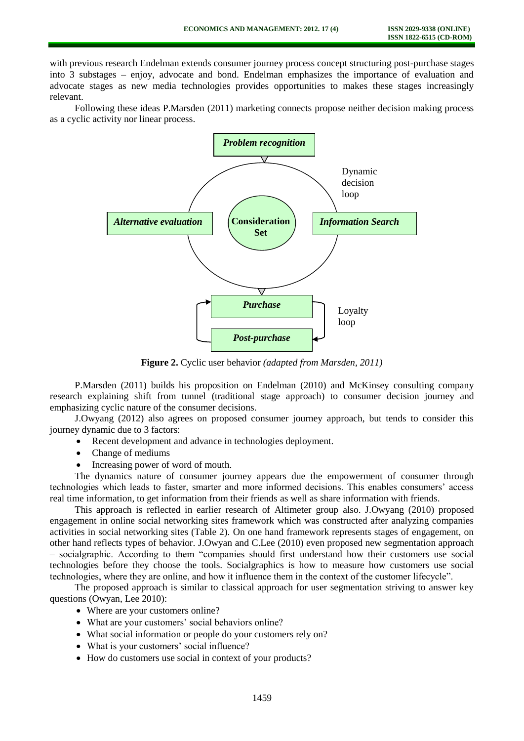with previous research Endelman extends consumer journey process concept structuring post-purchase stages into 3 substages – enjoy, advocate and bond. Endelman emphasizes the importance of evaluation and advocate stages as new media technologies provides opportunities to makes these stages increasingly relevant.

Following these ideas P.Marsden (2011) marketing connects propose neither decision making process as a cyclic activity nor linear process.



**Figure 2.** Cyclic user behavior *(adapted from Marsden, 2011)*

P.Marsden (2011) builds his proposition on Endelman (2010) and McKinsey consulting company research explaining shift from tunnel (traditional stage approach) to consumer decision journey and emphasizing cyclic nature of the consumer decisions.

J.Owyang (2012) also agrees on proposed consumer journey approach, but tends to consider this journey dynamic due to 3 factors:

- Recent development and advance in technologies deployment.
- Change of mediums
- Increasing power of word of mouth.

The dynamics nature of consumer journey appears due the empowerment of consumer through technologies which leads to faster, smarter and more informed decisions. This enables consumers' access real time information, to get information from their friends as well as share information with friends.

This approach is reflected in earlier research of Altimeter group also. J.Owyang (2010) proposed engagement in online social networking sites framework which was constructed after analyzing companies activities in social networking sites (Table 2). On one hand framework represents stages of engagement, on other hand reflects types of behavior. J.Owyan and C.Lee (2010) even proposed new segmentation approach – socialgraphic. According to them "companies should first understand how their customers use social technologies before they choose the tools. Socialgraphics is how to measure how customers use social technologies, where they are online, and how it influence them in the context of the customer lifecycle".

The proposed approach is similar to classical approach for user segmentation striving to answer key questions (Owyan, Lee 2010):

- Where are your customers online?
- What are your customers' social behaviors online?
- What social information or people do your customers rely on?
- What is your customers' social influence?
- How do customers use social in context of your products?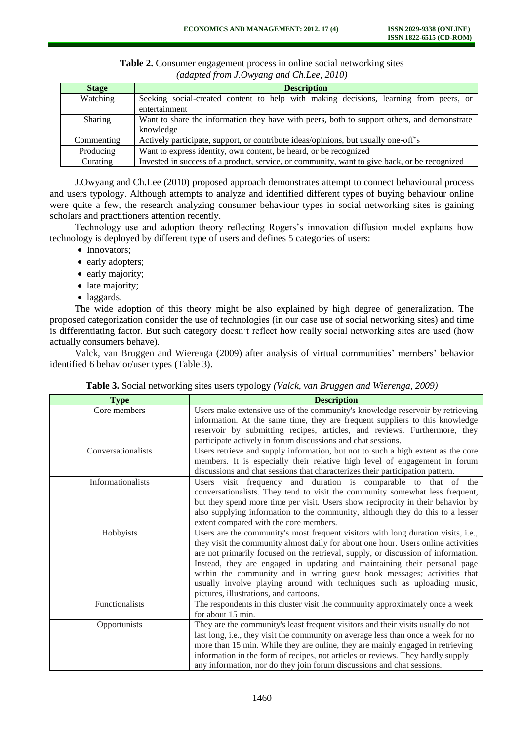| <b>Stage</b> | <b>Description</b>                                                                           |  |  |
|--------------|----------------------------------------------------------------------------------------------|--|--|
| Watching     | Seeking social-created content to help with making decisions, learning from peers, or        |  |  |
|              | entertainment                                                                                |  |  |
| Sharing      | Want to share the information they have with peers, both to support others, and demonstrate  |  |  |
|              | knowledge                                                                                    |  |  |
| Commenting   | Actively participate, support, or contribute ideas/opinions, but usually one-off's           |  |  |
| Producing    | Want to express identity, own content, be heard, or be recognized                            |  |  |
| Curating     | Invested in success of a product, service, or community, want to give back, or be recognized |  |  |

**Table 2.** Consumer engagement process in online social networking sites *(adapted from J.Owyang and Ch.Lee, 2010)*

J.Owyang and Ch.Lee (2010) proposed approach demonstrates attempt to connect behavioural process and users typology. Although attempts to analyze and identified different types of buying behaviour online were quite a few, the research analyzing consumer behaviour types in social networking sites is gaining scholars and practitioners attention recently.

Technology use and adoption theory reflecting Rogers's innovation diffusion model explains how technology is deployed by different type of users and defines 5 categories of users:

- Innovators;
- early adopters;
- early majority;
- late majority;
- laggards.

The wide adoption of this theory might be also explained by high degree of generalization. The proposed categorization consider the use of technologies (in our case use of social networking sites) and time is differentiating factor. But such category doesn't reflect how really social networking sites are used (how actually consumers behave).

Valck, van Bruggen and Wierenga (2009) after analysis of virtual communities' members' behavior identified 6 behavior/user types (Table 3).

| <b>Type</b>        | <b>Description</b>                                                                |
|--------------------|-----------------------------------------------------------------------------------|
| Core members       | Users make extensive use of the community's knowledge reservoir by retrieving     |
|                    | information. At the same time, they are frequent suppliers to this knowledge      |
|                    | reservoir by submitting recipes, articles, and reviews. Furthermore, they         |
|                    | participate actively in forum discussions and chat sessions.                      |
| Conversationalists | Users retrieve and supply information, but not to such a high extent as the core  |
|                    | members. It is especially their relative high level of engagement in forum        |
|                    | discussions and chat sessions that characterizes their participation pattern.     |
| Informationalists  | Users visit frequency and duration is comparable to that of the                   |
|                    | conversationalists. They tend to visit the community somewhat less frequent,      |
|                    | but they spend more time per visit. Users show reciprocity in their behavior by   |
|                    | also supplying information to the community, although they do this to a lesser    |
|                    | extent compared with the core members.                                            |
| Hobbyists          | Users are the community's most frequent visitors with long duration visits, i.e., |
|                    | they visit the community almost daily for about one hour. Users online activities |
|                    | are not primarily focused on the retrieval, supply, or discussion of information. |
|                    | Instead, they are engaged in updating and maintaining their personal page         |
|                    | within the community and in writing guest book messages; activities that          |
|                    | usually involve playing around with techniques such as uploading music,           |
|                    | pictures, illustrations, and cartoons.                                            |
| Functionalists     | The respondents in this cluster visit the community approximately once a week     |
|                    | for about 15 min.                                                                 |
| Opportunists       | They are the community's least frequent visitors and their visits usually do not  |
|                    | last long, i.e., they visit the community on average less than once a week for no |
|                    | more than 15 min. While they are online, they are mainly engaged in retrieving    |
|                    | information in the form of recipes, not articles or reviews. They hardly supply   |
|                    | any information, nor do they join forum discussions and chat sessions.            |

| Table 3. Social networking sites users typology (Valck, van Bruggen and Wierenga, 2009) |  |  |
|-----------------------------------------------------------------------------------------|--|--|
|-----------------------------------------------------------------------------------------|--|--|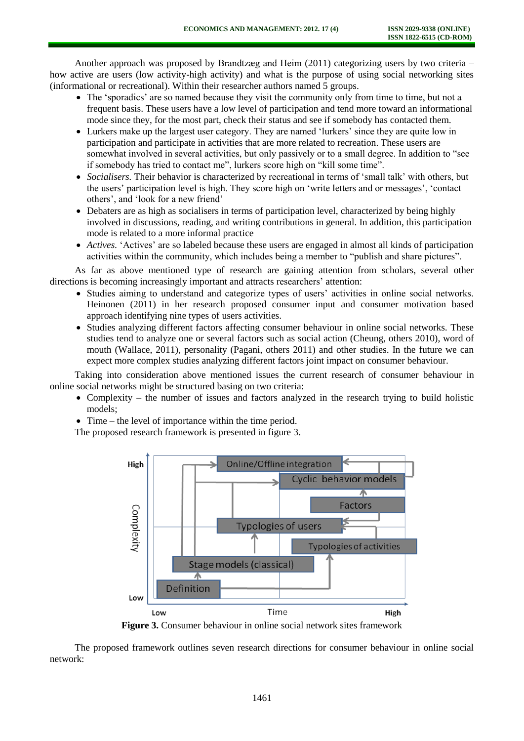Another approach was proposed by Brandtzæg and Heim (2011) categorizing users by two criteria – how active are users (low activity-high activity) and what is the purpose of using social networking sites (informational or recreational). Within their researcher authors named 5 groups.

- The 'sporadics' are so named because they visit the community only from time to time, but not a frequent basis. These users have a low level of participation and tend more toward an informational mode since they, for the most part, check their status and see if somebody has contacted them.
- Lurkers make up the largest user category. They are named 'lurkers' since they are quite low in participation and participate in activities that are more related to recreation. These users are somewhat involved in several activities, but only passively or to a small degree. In addition to "see if somebody has tried to contact me", lurkers score high on "kill some time".
- *Socialisers.* Their behavior is characterized by recreational in terms of 'small talk' with others, but the users' participation level is high. They score high on 'write letters and or messages', 'contact others', and 'look for a new friend'
- Debaters are as high as socialisers in terms of participation level, characterized by being highly involved in discussions, reading, and writing contributions in general. In addition, this participation mode is related to a more informal practice
- *Actives.* 'Actives' are so labeled because these users are engaged in almost all kinds of participation activities within the community, which includes being a member to "publish and share pictures".

As far as above mentioned type of research are gaining attention from scholars, several other directions is becoming increasingly important and attracts researchers' attention:

- Studies aiming to understand and categorize types of users' activities in online social networks. Heinonen (2011) in her research proposed consumer input and consumer motivation based approach identifying nine types of users activities.
- Studies analyzing different factors affecting consumer behaviour in online social networks. These studies tend to analyze one or several factors such as social action (Cheung, others 2010), word of mouth (Wallace, 2011), personality (Pagani, others 2011) and other studies. In the future we can expect more complex studies analyzing different factors joint impact on consumer behaviour.

Taking into consideration above mentioned issues the current research of consumer behaviour in online social networks might be structured basing on two criteria:

- Complexity the number of issues and factors analyzed in the research trying to build holistic models;
- Time the level of importance within the time period.

The proposed research framework is presented in figure 3.



**Figure 3.** Consumer behaviour in online social network sites framework

The proposed framework outlines seven research directions for consumer behaviour in online social network: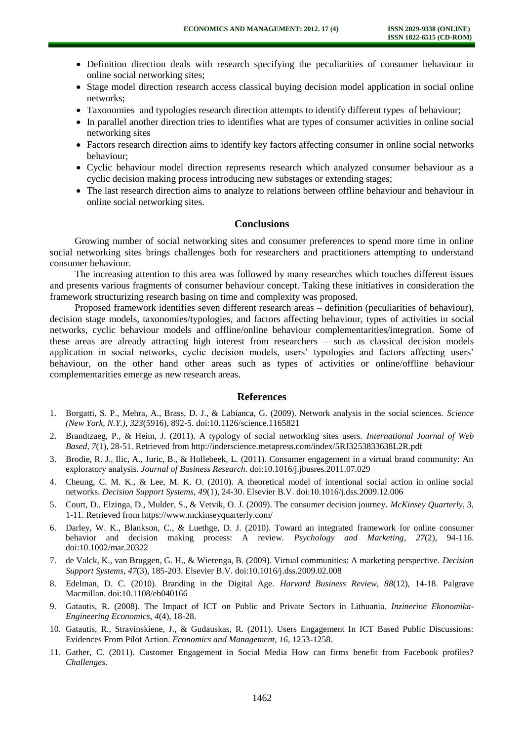- Definition direction deals with research specifying the peculiarities of consumer behaviour in online social networking sites;
- Stage model direction research access classical buying decision model application in social online networks;
- Taxonomies and typologies research direction attempts to identify different types of behaviour;
- In parallel another direction tries to identifies what are types of consumer activities in online social networking sites
- Factors research direction aims to identify key factors affecting consumer in online social networks behaviour;
- Cyclic behaviour model direction represents research which analyzed consumer behaviour as a cyclic decision making process introducing new substages or extending stages;
- The last research direction aims to analyze to relations between offline behaviour and behaviour in online social networking sites.

## **Conclusions**

Growing number of social networking sites and consumer preferences to spend more time in online social networking sites brings challenges both for researchers and practitioners attempting to understand consumer behaviour.

The increasing attention to this area was followed by many researches which touches different issues and presents various fragments of consumer behaviour concept. Taking these initiatives in consideration the framework structurizing research basing on time and complexity was proposed.

Proposed framework identifies seven different research areas – definition (peculiarities of behaviour), decision stage models, taxonomies/typologies, and factors affecting behaviour, types of activities in social networks, cyclic behaviour models and offline/online behaviour complementarities/integration. Some of these areas are already attracting high interest from researchers – such as classical decision models application in social networks, cyclic decision models, users' typologies and factors affecting users' behaviour, on the other hand other areas such as types of activities or online/offline behaviour complementarities emerge as new research areas.

#### **References**

- 1. Borgatti, S. P., Mehra, A., Brass, D. J., & Labianca, G. (2009). Network analysis in the social sciences. *Science (New York, N.Y.)*, *323*(5916), 892-5. doi:10.1126/science.1165821
- 2. Brandtzaeg, P., & Heim, J. (2011). A typology of social networking sites users. *International Journal of Web Based*, *7*(1), 28-51. Retrieved from http://inderscience.metapress.com/index/5RJ3253833638L2R.pdf
- 3. Brodie, R. J., Ilic, A., Juric, B., & Hollebeek, L. (2011). Consumer engagement in a virtual brand community: An exploratory analysis. *Journal of Business Research*. doi:10.1016/j.jbusres.2011.07.029
- 4. Cheung, C. M. K., & Lee, M. K. O. (2010). A theoretical model of intentional social action in online social networks. *Decision Support Systems*, *49*(1), 24-30. Elsevier B.V. doi:10.1016/j.dss.2009.12.006
- 5. Court, D., Elzinga, D., Mulder, S., & Vetvik, O. J. (2009). The consumer decision journey. *McKinsey Quarterly*, *3*, 1-11. Retrieved from https://www.mckinseyquarterly.com/
- 6. Darley, W. K., Blankson, C., & Luethge, D. J. (2010). Toward an integrated framework for online consumer behavior and decision making process: A review. *Psychology and Marketing*, *27*(2), 94-116. doi:10.1002/mar.20322
- 7. de Valck, K., van Bruggen, G. H., & Wierenga, B. (2009). Virtual communities: A marketing perspective. *Decision Support Systems*, *47*(3), 185-203. Elsevier B.V. doi:10.1016/j.dss.2009.02.008
- 8. Edelman, D. C. (2010). Branding in the Digital Age. *Harvard Business Review*, *88*(12), 14-18. Palgrave Macmillan. doi:10.1108/eb040166
- 9. Gatautis, R. (2008). The Impact of ICT on Public and Private Sectors in Lithuania. *Inzinerine Ekonomika-Engineering Economics*, *4*(4), 18-28.
- 10. Gatautis, R., Stravinskiene, J., & Gudauskas, R. (2011). Users Engagement In ICT Based Public Discussions: Evidences From Pilot Action. *Economics and Management*, *16*, 1253-1258.
- 11. Gather, C. (2011). Customer Engagement in Social Media How can firms benefit from Facebook profiles? *Challenges*.